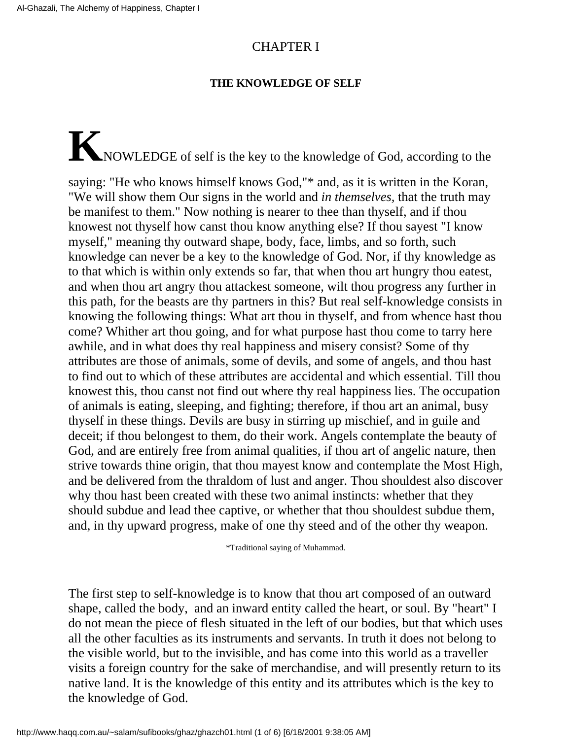## CHAPTER I

## **THE KNOWLEDGE OF SELF**

**K**NOWLEDGE of self is the key to the knowledge of God, according to the

saying: "He who knows himself knows God,"\* and, as it is written in the Koran, "We will show them Our signs in the world and *in themselves,* that the truth may be manifest to them." Now nothing is nearer to thee than thyself, and if thou knowest not thyself how canst thou know anything else? If thou sayest "I know myself," meaning thy outward shape, body, face, limbs, and so forth, such knowledge can never be a key to the knowledge of God. Nor, if thy knowledge as to that which is within only extends so far, that when thou art hungry thou eatest, and when thou art angry thou attackest someone, wilt thou progress any further in this path, for the beasts are thy partners in this? But real self-knowledge consists in knowing the following things: What art thou in thyself, and from whence hast thou come? Whither art thou going, and for what purpose hast thou come to tarry here awhile, and in what does thy real happiness and misery consist? Some of thy attributes are those of animals, some of devils, and some of angels, and thou hast to find out to which of these attributes are accidental and which essential. Till thou knowest this, thou canst not find out where thy real happiness lies. The occupation of animals is eating, sleeping, and fighting; therefore, if thou art an animal, busy thyself in these things. Devils are busy in stirring up mischief, and in guile and deceit; if thou belongest to them, do their work. Angels contemplate the beauty of God, and are entirely free from animal qualities, if thou art of angelic nature, then strive towards thine origin, that thou mayest know and contemplate the Most High, and be delivered from the thraldom of lust and anger. Thou shouldest also discover why thou hast been created with these two animal instincts: whether that they should subdue and lead thee captive, or whether that thou shouldest subdue them, and, in thy upward progress, make of one thy steed and of the other thy weapon.

\*Traditional saying of Muhammad.

The first step to self-knowledge is to know that thou art composed of an outward shape, called the body, and an inward entity called the heart, or soul. By "heart" I do not mean the piece of flesh situated in the left of our bodies, but that which uses all the other faculties as its instruments and servants. In truth it does not belong to the visible world, but to the invisible, and has come into this world as a traveller visits a foreign country for the sake of merchandise, and will presently return to its native land. It is the knowledge of this entity and its attributes which is the key to the knowledge of God.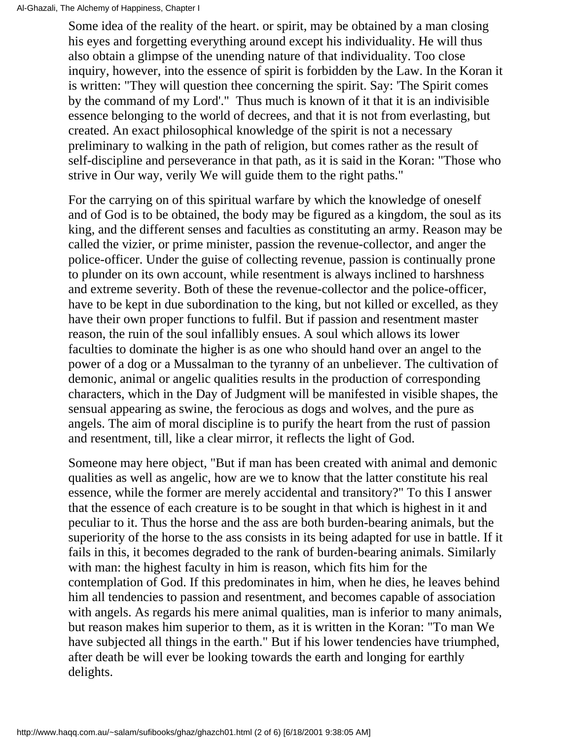Some idea of the reality of the heart. or spirit, may be obtained by a man closing his eyes and forgetting everything around except his individuality. He will thus also obtain a glimpse of the unending nature of that individuality. Too close inquiry, however, into the essence of spirit is forbidden by the Law. In the Koran it is written: "They will question thee concerning the spirit. Say: 'The Spirit comes by the command of my Lord'." Thus much is known of it that it is an indivisible essence belonging to the world of decrees, and that it is not from everlasting, but created. An exact philosophical knowledge of the spirit is not a necessary preliminary to walking in the path of religion, but comes rather as the result of self-discipline and perseverance in that path, as it is said in the Koran: "Those who strive in Our way, verily We will guide them to the right paths."

For the carrying on of this spiritual warfare by which the knowledge of oneself and of God is to be obtained, the body may be figured as a kingdom, the soul as its king, and the different senses and faculties as constituting an army. Reason may be called the vizier, or prime minister, passion the revenue-collector, and anger the police-officer. Under the guise of collecting revenue, passion is continually prone to plunder on its own account, while resentment is always inclined to harshness and extreme severity. Both of these the revenue-collector and the police-officer, have to be kept in due subordination to the king, but not killed or excelled, as they have their own proper functions to fulfil. But if passion and resentment master reason, the ruin of the soul infallibly ensues. A soul which allows its lower faculties to dominate the higher is as one who should hand over an angel to the power of a dog or a Mussalman to the tyranny of an unbeliever. The cultivation of demonic, animal or angelic qualities results in the production of corresponding characters, which in the Day of Judgment will be manifested in visible shapes, the sensual appearing as swine, the ferocious as dogs and wolves, and the pure as angels. The aim of moral discipline is to purify the heart from the rust of passion and resentment, till, like a clear mirror, it reflects the light of God.

Someone may here object, "But if man has been created with animal and demonic qualities as well as angelic, how are we to know that the latter constitute his real essence, while the former are merely accidental and transitory?" To this I answer that the essence of each creature is to be sought in that which is highest in it and peculiar to it. Thus the horse and the ass are both burden-bearing animals, but the superiority of the horse to the ass consists in its being adapted for use in battle. If it fails in this, it becomes degraded to the rank of burden-bearing animals. Similarly with man: the highest faculty in him is reason, which fits him for the contemplation of God. If this predominates in him, when he dies, he leaves behind him all tendencies to passion and resentment, and becomes capable of association with angels. As regards his mere animal qualities, man is inferior to many animals, but reason makes him superior to them, as it is written in the Koran: "To man We have subjected all things in the earth." But if his lower tendencies have triumphed, after death be will ever be looking towards the earth and longing for earthly delights.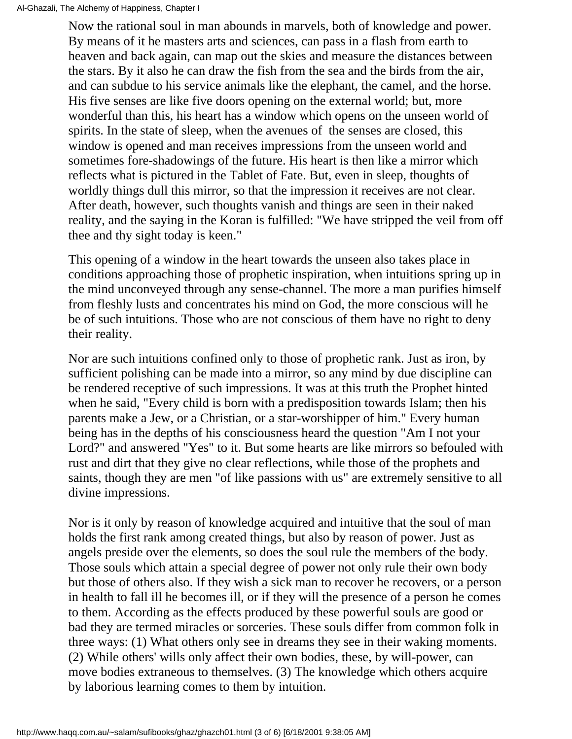## Al-Ghazali, The Alchemy of Happiness, Chapter I

Now the rational soul in man abounds in marvels, both of knowledge and power. By means of it he masters arts and sciences, can pass in a flash from earth to heaven and back again, can map out the skies and measure the distances between the stars. By it also he can draw the fish from the sea and the birds from the air, and can subdue to his service animals like the elephant, the camel, and the horse. His five senses are like five doors opening on the external world; but, more wonderful than this, his heart has a window which opens on the unseen world of spirits. In the state of sleep, when the avenues of the senses are closed, this window is opened and man receives impressions from the unseen world and sometimes fore-shadowings of the future. His heart is then like a mirror which reflects what is pictured in the Tablet of Fate. But, even in sleep, thoughts of worldly things dull this mirror, so that the impression it receives are not clear. After death, however, such thoughts vanish and things are seen in their naked reality, and the saying in the Koran is fulfilled: "We have stripped the veil from off thee and thy sight today is keen."

This opening of a window in the heart towards the unseen also takes place in conditions approaching those of prophetic inspiration, when intuitions spring up in the mind unconveyed through any sense-channel. The more a man purifies himself from fleshly lusts and concentrates his mind on God, the more conscious will he be of such intuitions. Those who are not conscious of them have no right to deny their reality.

Nor are such intuitions confined only to those of prophetic rank. Just as iron, by sufficient polishing can be made into a mirror, so any mind by due discipline can be rendered receptive of such impressions. It was at this truth the Prophet hinted when he said, "Every child is born with a predisposition towards Islam; then his parents make a Jew, or a Christian, or a star-worshipper of him." Every human being has in the depths of his consciousness heard the question "Am I not your Lord?" and answered "Yes" to it. But some hearts are like mirrors so befouled with rust and dirt that they give no clear reflections, while those of the prophets and saints, though they are men "of like passions with us" are extremely sensitive to all divine impressions.

Nor is it only by reason of knowledge acquired and intuitive that the soul of man holds the first rank among created things, but also by reason of power. Just as angels preside over the elements, so does the soul rule the members of the body. Those souls which attain a special degree of power not only rule their own body but those of others also. If they wish a sick man to recover he recovers, or a person in health to fall ill he becomes ill, or if they will the presence of a person he comes to them. According as the effects produced by these powerful souls are good or bad they are termed miracles or sorceries. These souls differ from common folk in three ways: (1) What others only see in dreams they see in their waking moments. (2) While others' wills only affect their own bodies, these, by will-power, can move bodies extraneous to themselves. (3) The knowledge which others acquire by laborious learning comes to them by intuition.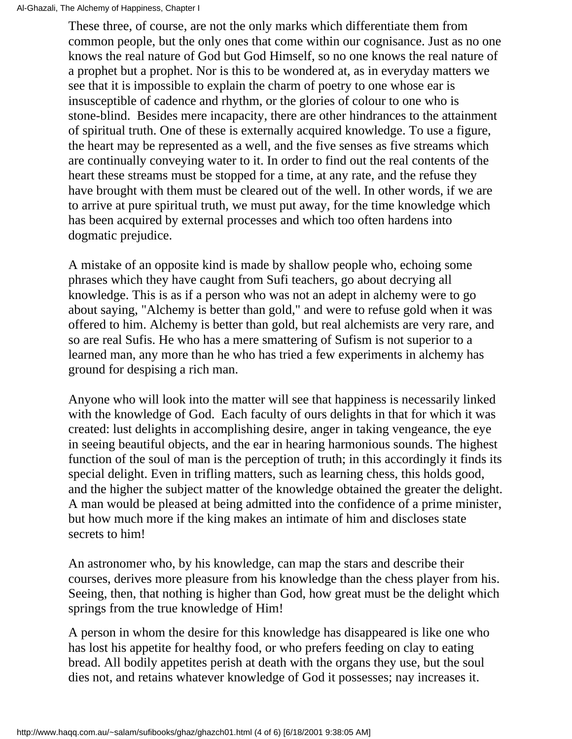## Al-Ghazali, The Alchemy of Happiness, Chapter I

These three, of course, are not the only marks which differentiate them from common people, but the only ones that come within our cognisance. Just as no one knows the real nature of God but God Himself, so no one knows the real nature of a prophet but a prophet. Nor is this to be wondered at, as in everyday matters we see that it is impossible to explain the charm of poetry to one whose ear is insusceptible of cadence and rhythm, or the glories of colour to one who is stone-blind. Besides mere incapacity, there are other hindrances to the attainment of spiritual truth. One of these is externally acquired knowledge. To use a figure, the heart may be represented as a well, and the five senses as five streams which are continually conveying water to it. In order to find out the real contents of the heart these streams must be stopped for a time, at any rate, and the refuse they have brought with them must be cleared out of the well. In other words, if we are to arrive at pure spiritual truth, we must put away, for the time knowledge which has been acquired by external processes and which too often hardens into dogmatic prejudice.

A mistake of an opposite kind is made by shallow people who, echoing some phrases which they have caught from Sufi teachers, go about decrying all knowledge. This is as if a person who was not an adept in alchemy were to go about saying, "Alchemy is better than gold," and were to refuse gold when it was offered to him. Alchemy is better than gold, but real alchemists are very rare, and so are real Sufis. He who has a mere smattering of Sufism is not superior to a learned man, any more than he who has tried a few experiments in alchemy has ground for despising a rich man.

Anyone who will look into the matter will see that happiness is necessarily linked with the knowledge of God. Each faculty of ours delights in that for which it was created: lust delights in accomplishing desire, anger in taking vengeance, the eye in seeing beautiful objects, and the ear in hearing harmonious sounds. The highest function of the soul of man is the perception of truth; in this accordingly it finds its special delight. Even in trifling matters, such as learning chess, this holds good, and the higher the subject matter of the knowledge obtained the greater the delight. A man would be pleased at being admitted into the confidence of a prime minister, but how much more if the king makes an intimate of him and discloses state secrets to him!

An astronomer who, by his knowledge, can map the stars and describe their courses, derives more pleasure from his knowledge than the chess player from his. Seeing, then, that nothing is higher than God, how great must be the delight which springs from the true knowledge of Him!

A person in whom the desire for this knowledge has disappeared is like one who has lost his appetite for healthy food, or who prefers feeding on clay to eating bread. All bodily appetites perish at death with the organs they use, but the soul dies not, and retains whatever knowledge of God it possesses; nay increases it.